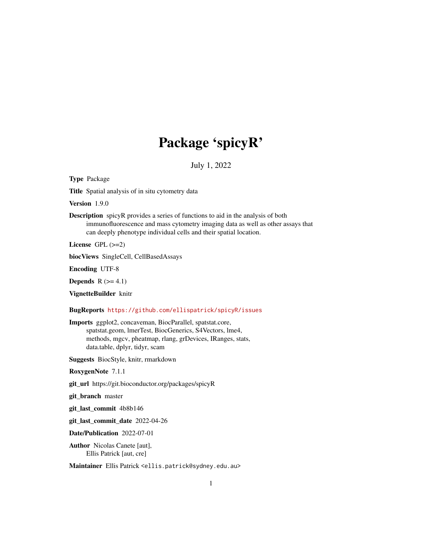# Package 'spicyR'

July 1, 2022

Type Package

Title Spatial analysis of in situ cytometry data

Version 1.9.0

Description spicyR provides a series of functions to aid in the analysis of both immunofluorescence and mass cytometry imaging data as well as other assays that can deeply phenotype individual cells and their spatial location.

License GPL  $(>=2)$ 

biocViews SingleCell, CellBasedAssays

Encoding UTF-8

**Depends**  $R$  ( $>= 4.1$ )

VignetteBuilder knitr

BugReports <https://github.com/ellispatrick/spicyR/issues>

Imports ggplot2, concaveman, BiocParallel, spatstat.core, spatstat.geom, lmerTest, BiocGenerics, S4Vectors, lme4, methods, mgcv, pheatmap, rlang, grDevices, IRanges, stats, data.table, dplyr, tidyr, scam

Suggests BiocStyle, knitr, rmarkdown

RoxygenNote 7.1.1

git\_url https://git.bioconductor.org/packages/spicyR

git\_branch master

git\_last\_commit 4b8b146

git\_last\_commit\_date 2022-04-26

Date/Publication 2022-07-01

Author Nicolas Canete [aut], Ellis Patrick [aut, cre]

Maintainer Ellis Patrick <ellis.patrick@sydney.edu.au>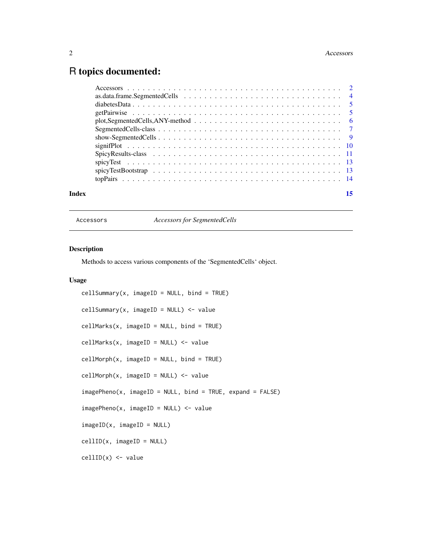# <span id="page-1-0"></span>R topics documented:

| Index | 15 |
|-------|----|
|       |    |
|       |    |
|       |    |
|       |    |
|       |    |
|       |    |
|       |    |
|       |    |
|       |    |
|       |    |
|       |    |
|       |    |

Accessors *Accessors for SegmentedCells*

# Description

Methods to access various components of the 'SegmentedCells' object.

# Usage

```
cellSummary(x, imageID = NULL, bind = TRUE)cellSummary(x, imageID = NULL) <- value
cellMarks(x, imageID = NULL, bind = TRUE)
cellMarks(x, imageID = NULL) <- value
cellMorph(x, imageID = NULL, bind = TRUE)cellMorph(x, imageID = NULL) <- value
imagePheno(x, imageID = NULL, bind = TRUE, expand = FALSE)
imagePheno(x, imageID = NULL) <- value
imageID(x, imageID = NULL)cellID(x, imageID = NULL)
cellID(x) <- value
```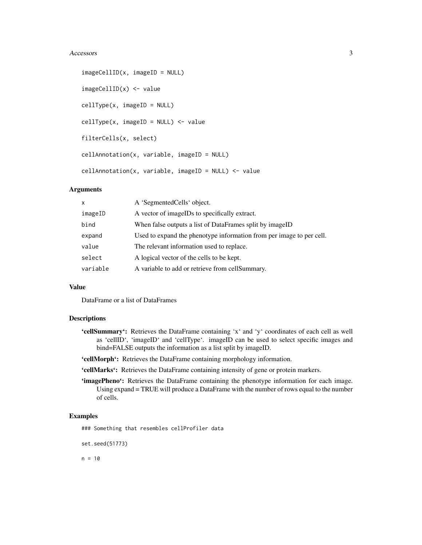#### Accessors 3

```
imageCellID(x, imageID = NULL)
imageCellID(x) <- value
cellType(x, imageID = NULL)
cellType(x, imageID = NULL) <- value
filterCells(x, select)
cellAnnotation(x, variable, imageID = NULL)
cellAnnotation(x, variable, imageID = NULL) <- value
```
# Arguments

| x        | A 'SegmentedCells' object.                                           |
|----------|----------------------------------------------------------------------|
| imageID  | A vector of imageIDs to specifically extract.                        |
| bind     | When false outputs a list of DataFrames split by imageID             |
| expand   | Used to expand the phenotype information from per image to per cell. |
| value    | The relevant information used to replace.                            |
| select   | A logical vector of the cells to be kept.                            |
| variable | A variable to add or retrieve from cell Summary.                     |
|          |                                                                      |

# Value

DataFrame or a list of DataFrames

# Descriptions

- 'cellSummary': Retrieves the DataFrame containing 'x' and 'y' coordinates of each cell as well as 'cellID', 'imageID' and 'cellType'. imageID can be used to select specific images and bind=FALSE outputs the information as a list split by imageID.
- 'cellMorph': Retrieves the DataFrame containing morphology information.
- 'cellMarks': Retrieves the DataFrame containing intensity of gene or protein markers.
- 'imagePheno': Retrieves the DataFrame containing the phenotype information for each image. Using expand = TRUE will produce a DataFrame with the number of rows equal to the number of cells.

#### Examples

### Something that resembles cellProfiler data

set.seed(51773)

 $n = 10$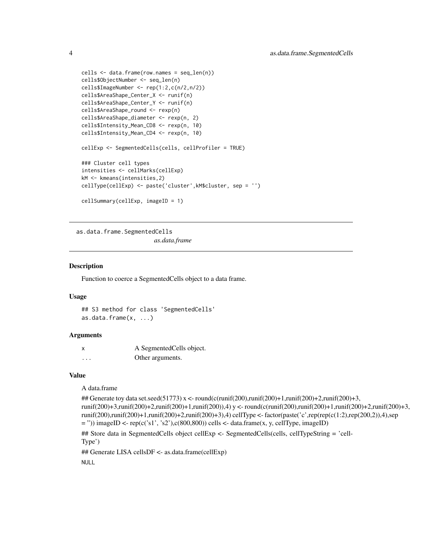```
cells <- data.frame(row.names = seq_len(n))
cells$ObjectNumber <- seq_len(n)
cells$ImageNumber <- rep(1:2,c(n/2,n/2))
cells$AreaShape_Center_X <- runif(n)
cells$AreaShape_Center_Y <- runif(n)
cells$AreaShape_round <- rexp(n)
cells$AreaShape_diameter <- rexp(n, 2)
cells$Intensity_Mean_CD8 <- rexp(n, 10)
cells$Intensity_Mean_CD4 <- rexp(n, 10)
cellExp <- SegmentedCells(cells, cellProfiler = TRUE)
### Cluster cell types
intensities <- cellMarks(cellExp)
kM <- kmeans(intensities,2)
cellType(cellExp) <- paste('cluster',kM$cluster, sep = '')
cellSummary(cellExp, imageID = 1)
```
as.data.frame.SegmentedCells *as.data.frame*

## Description

Function to coerce a SegmentedCells object to a data frame.

#### Usage

```
## S3 method for class 'SegmentedCells'
as.data.frame(x, ...)
```
#### Arguments

| $\boldsymbol{\mathsf{x}}$ | A SegmentedCells object. |
|---------------------------|--------------------------|
| .                         | Other arguments.         |

#### Value

A data.frame

```
## Generate toy data set.seed(51773) x <- round(c(runif(200),runif(200)+1,runif(200)+2,runif(200)+3,
runif(200)+3,runif(200)+2,runif(200)+1,runif(200)),4) y <- round(c(runif(200),runif(200)+1,runif(200)+2,runif(200)+3,
runif(200),runif(200)+1,runif(200)+2,runif(200)+3),4) cellType <- factor(paste('c',rep(rep(c(1:2),rep(200,2)),4),sep
=")) imageID <- rep(c('s1', 's2'),c(800,800)) cells <- data.frame(x, y, cellType, imageID)
```
## Store data in SegmentedCells object cellExp <- SegmentedCells(cells, cellTypeString = 'cell-Type')

## Generate LISA cellsDF <- as.data.frame(cellExp)

NULL

<span id="page-3-0"></span>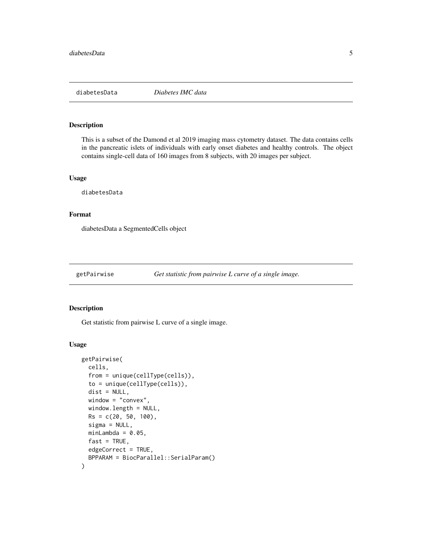<span id="page-4-0"></span>

# Description

This is a subset of the Damond et al 2019 imaging mass cytometry dataset. The data contains cells in the pancreatic islets of individuals with early onset diabetes and healthy controls. The object contains single-cell data of 160 images from 8 subjects, with 20 images per subject.

#### Usage

diabetesData

#### Format

diabetesData a SegmentedCells object

getPairwise *Get statistic from pairwise L curve of a single image.*

#### Description

Get statistic from pairwise L curve of a single image.

#### Usage

```
getPairwise(
 cells,
  from = unique(cellType(cells)),
  to = unique(cellType(cells)),
  dist = NULL,window = "convex",
 window.length = NULL,
 Rs = c(20, 50, 100),sigma = NULL,
 minLambda = 0.05,
  fast = TRUE,edgeCorrect = TRUE,
 BPPARAM = BiocParallel::SerialParam()
)
```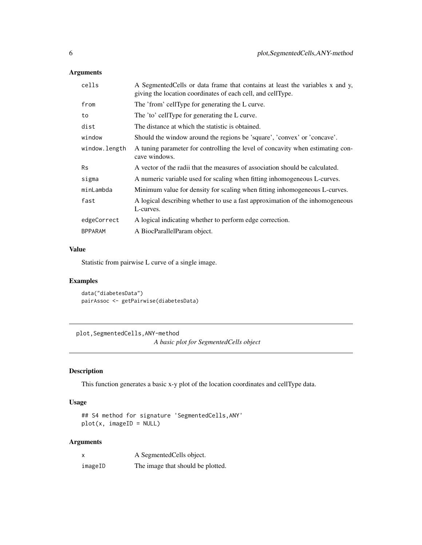# <span id="page-5-0"></span>Arguments

| cells          | A SegmentedCells or data frame that contains at least the variables x and y,<br>giving the location coordinates of each cell, and cell Type. |
|----------------|----------------------------------------------------------------------------------------------------------------------------------------------|
| from           | The 'from' cellType for generating the L curve.                                                                                              |
| to             | The 'to' cellType for generating the L curve.                                                                                                |
| dist           | The distance at which the statistic is obtained.                                                                                             |
| window         | Should the window around the regions be 'square', 'convex' or 'concave'.                                                                     |
| window.length  | A tuning parameter for controlling the level of concavity when estimating con-<br>cave windows.                                              |
| <b>Rs</b>      | A vector of the radii that the measures of association should be calculated.                                                                 |
| sigma          | A numeric variable used for scaling when fitting inhomogeneous L-curves.                                                                     |
| minLambda      | Minimum value for density for scaling when fitting inhomogeneous L-curves.                                                                   |
| fast           | A logical describing whether to use a fast approximation of the inhomogeneous<br>L-curves.                                                   |
| edgeCorrect    | A logical indicating whether to perform edge correction.                                                                                     |
| <b>BPPARAM</b> | A BiocParallelParam object.                                                                                                                  |

# Value

Statistic from pairwise L curve of a single image.

# Examples

data("diabetesData") pairAssoc <- getPairwise(diabetesData)

plot,SegmentedCells,ANY-method *A basic plot for SegmentedCells object*

# Description

This function generates a basic x-y plot of the location coordinates and cellType data.

# Usage

## S4 method for signature 'SegmentedCells,ANY' plot(x, imageID = NULL)

# Arguments

| x       | A Segmented Cells object.         |
|---------|-----------------------------------|
| imageID | The image that should be plotted. |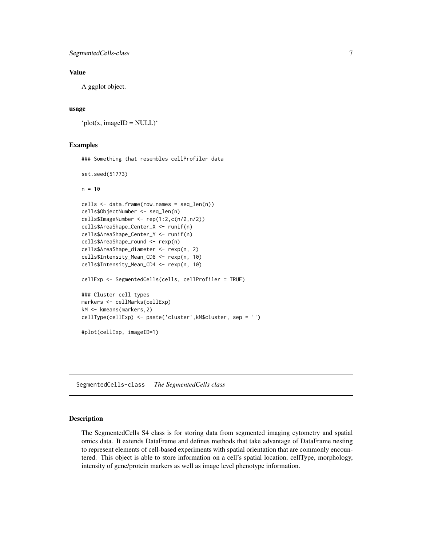## <span id="page-6-0"></span>Value

A ggplot object.

## usage

```
'plot(x, imageID = NULL)'
```
#### Examples

### Something that resembles cellProfiler data set.seed(51773)  $n = 10$ cells <- data.frame(row.names = seq\_len(n)) cells\$ObjectNumber <- seq\_len(n) cells\$ImageNumber <- rep(1:2,c(n/2,n/2)) cells\$AreaShape\_Center\_X <- runif(n) cells\$AreaShape\_Center\_Y <- runif(n) cells\$AreaShape\_round <- rexp(n)

cells\$AreaShape\_diameter <- rexp(n, 2) cells\$Intensity\_Mean\_CD8 <- rexp(n, 10) cells\$Intensity\_Mean\_CD4 <- rexp(n, 10)

markers <- cellMarks(cellExp) kM <- kmeans(markers,2) cellType(cellExp) <- paste('cluster',kM\$cluster, sep = '')

cellExp <- SegmentedCells(cells, cellProfiler = TRUE)

#plot(cellExp, imageID=1)

### Cluster cell types

SegmentedCells-class *The SegmentedCells class*

#### Description

The SegmentedCells S4 class is for storing data from segmented imaging cytometry and spatial omics data. It extends DataFrame and defines methods that take advantage of DataFrame nesting to represent elements of cell-based experiments with spatial orientation that are commonly encountered. This object is able to store information on a cell's spatial location, cellType, morphology, intensity of gene/protein markers as well as image level phenotype information.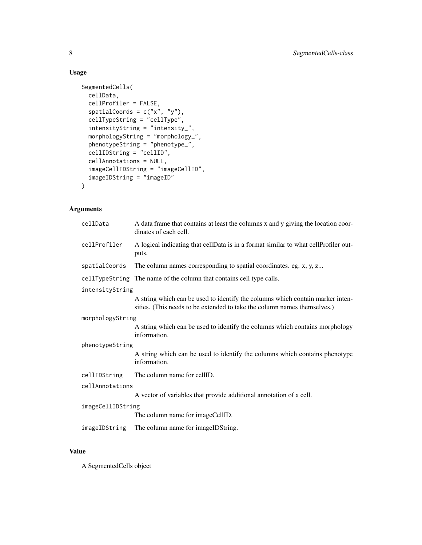# Usage

```
SegmentedCells(
  cellData,
  cellProfiler = FALSE,
  spatialCoords = c("x", "y"),
  cellTypeString = "cellType",
  intensityString = "intensity_",
 morphologyString = "morphology_",
 phenotypeString = "phenotype_",
 cellIDString = "cellID",
  cellAnnotations = NULL,
  imageCellIDString = "imageCellID",
  imageIDString = "imageID"
\mathcal{L}
```
# Arguments

| cellData          | A data frame that contains at least the columns x and y giving the location coor-<br>dinates of each cell.                                                 |  |
|-------------------|------------------------------------------------------------------------------------------------------------------------------------------------------------|--|
| cellProfiler      | A logical indicating that cellData is in a format similar to what cellProfiler out-<br>puts.                                                               |  |
| spatialCoords     | The column names corresponding to spatial coordinates. eg. x, y, z                                                                                         |  |
|                   | cellTypeString The name of the column that contains cell type calls.                                                                                       |  |
| intensityString   |                                                                                                                                                            |  |
|                   | A string which can be used to identify the columns which contain marker inten-<br>sities. (This needs to be extended to take the column names themselves.) |  |
| morphologyString  |                                                                                                                                                            |  |
|                   | A string which can be used to identify the columns which contains morphology<br>information.                                                               |  |
| phenotypeString   |                                                                                                                                                            |  |
|                   | A string which can be used to identify the columns which contains phenotype<br>information.                                                                |  |
| cellIDString      | The column name for cellID.                                                                                                                                |  |
| cellAnnotations   |                                                                                                                                                            |  |
|                   | A vector of variables that provide additional annotation of a cell.                                                                                        |  |
| imageCellIDString |                                                                                                                                                            |  |
|                   | The column name for imageCellID.                                                                                                                           |  |
| imageIDString     | The column name for imageIDString.                                                                                                                         |  |

# Value

A SegmentedCells object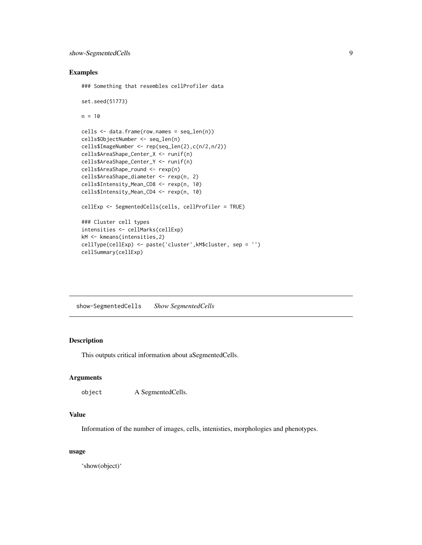#### <span id="page-8-0"></span>Examples

```
### Something that resembles cellProfiler data
set.seed(51773)
n = 10cells <- data.frame(row.names = seq_len(n))
cells$ObjectNumber <- seq_len(n)
cells$ImageNumber <- rep(seq_len(2),c(n/2,n/2))
cells$AreaShape_Center_X <- runif(n)
cells$AreaShape_Center_Y <- runif(n)
cells$AreaShape_round <- rexp(n)
cells$AreaShape_diameter <- rexp(n, 2)
cells$Intensity_Mean_CD8 <- rexp(n, 10)
cells$Intensity_Mean_CD4 <- rexp(n, 10)
cellExp <- SegmentedCells(cells, cellProfiler = TRUE)
### Cluster cell types
intensities <- cellMarks(cellExp)
kM <- kmeans(intensities,2)
cellType(cellExp) <- paste('cluster',kM$cluster, sep = '')
cellSummary(cellExp)
```
show-SegmentedCells *Show SegmentedCells*

# Description

This outputs critical information about aSegmentedCells.

#### Arguments

```
object A SegmentedCells.
```
#### Value

Information of the number of images, cells, intenisties, morphologies and phenotypes.

#### usage

'show(object)'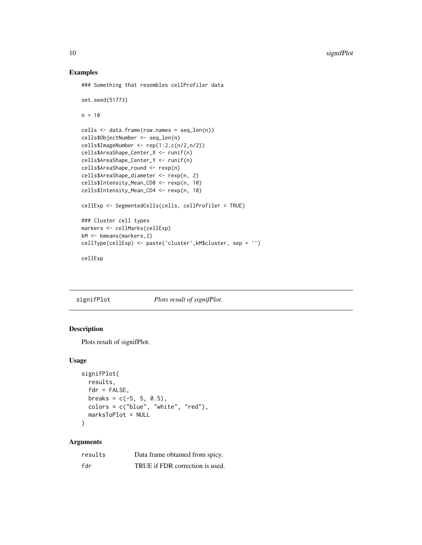<span id="page-9-0"></span>10 signifPlot

#### Examples

### Something that resembles cellProfiler data

```
set.seed(51773)
n = 10cells <- data.frame(row.names = seq_len(n))
cells$ObjectNumber <- seq_len(n)
cells$ImageNumber <- rep(1:2,c(n/2,n/2))
cells$AreaShape_Center_X <- runif(n)
cells$AreaShape_Center_Y <- runif(n)
cells$AreaShape_round <- rexp(n)
cells$AreaShape_diameter <- rexp(n, 2)
cells$Intensity_Mean_CD8 <- rexp(n, 10)
cells$Intensity_Mean_CD4 <- rexp(n, 10)
cellExp <- SegmentedCells(cells, cellProfiler = TRUE)
### Cluster cell types
markers <- cellMarks(cellExp)
kM <- kmeans(markers,2)
cellType(cellExp) <- paste('cluster',kM$cluster, sep = '')
cellExp
```
signifPlot *Plots result of signifPlot.*

# Description

Plots result of signifPlot.

#### Usage

```
signifPlot(
  results,
  fdr = FALSE,
 breaks = c(-5, 5, 0.5),
 colors = c("blue", "white", "red"),
 marksToPlot = NULL
\lambda
```
#### Arguments

| results | Data frame obtained from spicy. |
|---------|---------------------------------|
| fdr     | TRUE if FDR correction is used. |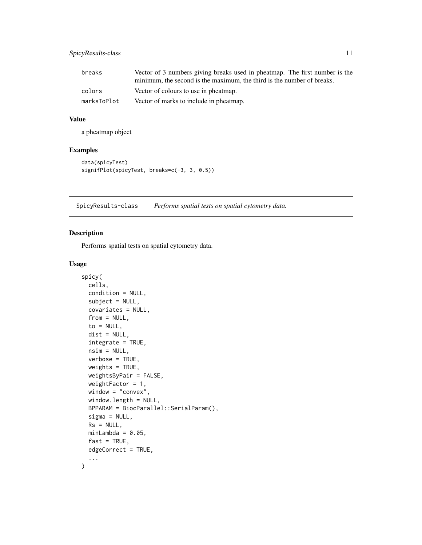# <span id="page-10-0"></span>SpicyResults-class 11

| breaks      | Vector of 3 numbers giving breaks used in pheatmap. The first number is the |
|-------------|-----------------------------------------------------------------------------|
|             | minimum, the second is the maximum, the third is the number of breaks.      |
| colors      | Vector of colours to use in pheatmap.                                       |
| marksToPlot | Vector of marks to include in pheatmap.                                     |

## Value

a pheatmap object

# Examples

```
data(spicyTest)
signifPlot(spicyTest, breaks=c(-3, 3, 0.5))
```
SpicyResults-class *Performs spatial tests on spatial cytometry data.*

# Description

Performs spatial tests on spatial cytometry data.

#### Usage

```
spicy(
 cells,
  condition = NULL,
  subject = NULL,
  covariates = NULL,
  from = NULL,to = NULL,
  dist = NULL,integrate = TRUE,
  nsim = NULL,verbose = TRUE,
 weights = TRUE,
 weightsByPair = FALSE,
 weightFactor = 1,
  window = "convex",
 window.length = NULL,
 BPPARAM = BiocParallel::SerialParam(),
  sigma = NULL,
 Rs = NULL,minLambda = 0.05,
  fast = TRUE,edgeCorrect = TRUE,
  ...
\mathcal{E}
```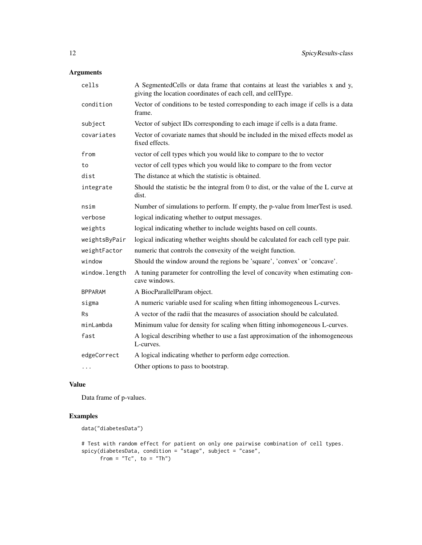# Arguments

| cells          | A SegmentedCells or data frame that contains at least the variables x and y,<br>giving the location coordinates of each cell, and cellType. |
|----------------|---------------------------------------------------------------------------------------------------------------------------------------------|
| condition      | Vector of conditions to be tested corresponding to each image if cells is a data<br>frame.                                                  |
| subject        | Vector of subject IDs corresponding to each image if cells is a data frame.                                                                 |
| covariates     | Vector of covariate names that should be included in the mixed effects model as<br>fixed effects.                                           |
| from           | vector of cell types which you would like to compare to the to vector                                                                       |
| to             | vector of cell types which you would like to compare to the from vector                                                                     |
| dist           | The distance at which the statistic is obtained.                                                                                            |
| integrate      | Should the statistic be the integral from 0 to dist, or the value of the L curve at<br>dist.                                                |
| nsim           | Number of simulations to perform. If empty, the p-value from lmerTest is used.                                                              |
| verbose        | logical indicating whether to output messages.                                                                                              |
| weights        | logical indicating whether to include weights based on cell counts.                                                                         |
| weightsByPair  | logical indicating whether weights should be calculated for each cell type pair.                                                            |
| weightFactor   | numeric that controls the convexity of the weight function.                                                                                 |
| window         | Should the window around the regions be 'square', 'convex' or 'concave'.                                                                    |
| window.length  | A tuning parameter for controlling the level of concavity when estimating con-<br>cave windows.                                             |
| <b>BPPARAM</b> | A BiocParallelParam object.                                                                                                                 |
| sigma          | A numeric variable used for scaling when fitting inhomogeneous L-curves.                                                                    |
| Rs             | A vector of the radii that the measures of association should be calculated.                                                                |
| minLambda      | Minimum value for density for scaling when fitting inhomogeneous L-curves.                                                                  |
| fast           | A logical describing whether to use a fast approximation of the inhomogeneous<br>L-curves.                                                  |
| edgeCorrect    | A logical indicating whether to perform edge correction.                                                                                    |
| $\cdots$       | Other options to pass to bootstrap.                                                                                                         |

# Value

Data frame of p-values.

# Examples

```
data("diabetesData")
# Test with random effect for patient on only one pairwise combination of cell types.
spicy(diabetesData, condition = "stage", subject = "case",
      from = "Tc", to = "Th")
```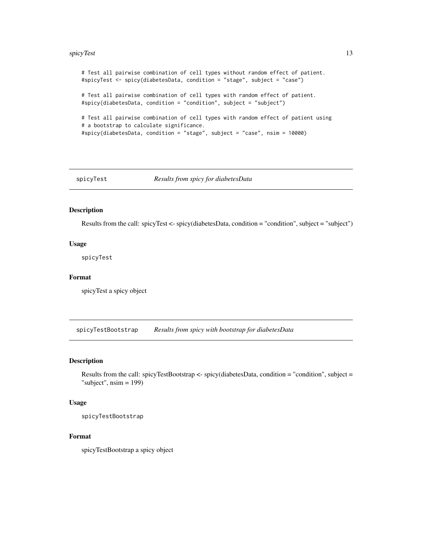#### <span id="page-12-0"></span>spicyTest 13

```
# Test all pairwise combination of cell types without random effect of patient.
#spicyTest <- spicy(diabetesData, condition = "stage", subject = "case")
# Test all pairwise combination of cell types with random effect of patient.
#spicy(diabetesData, condition = "condition", subject = "subject")
# Test all pairwise combination of cell types with random effect of patient using
# a bootstrap to calculate significance.
#spicy(diabetesData, condition = "stage", subject = "case", nsim = 10000)
```
spicyTest *Results from spicy for diabetesData*

## Description

Results from the call: spicyTest <- spicy(diabetesData, condition = "condition", subject = "subject")

#### Usage

spicyTest

#### Format

spicyTest a spicy object

spicyTestBootstrap *Results from spicy with bootstrap for diabetesData*

#### Description

Results from the call: spicyTestBootstrap <- spicy(diabetesData, condition = "condition", subject = "subject",  $nsim = 199$ )

#### Usage

spicyTestBootstrap

#### Format

spicyTestBootstrap a spicy object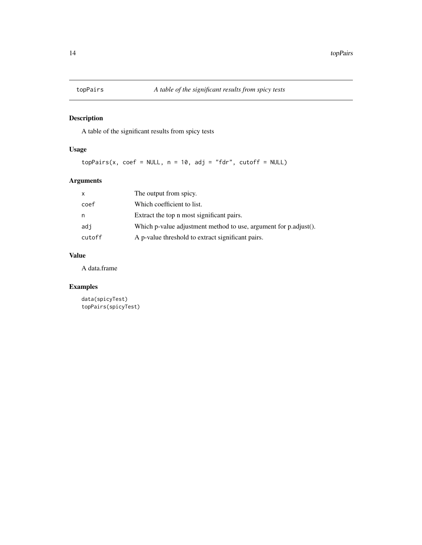<span id="page-13-0"></span>

# Description

A table of the significant results from spicy tests

# Usage

topPairs(x, coef = NULL,  $n = 10$ , adj = "fdr", cutoff = NULL)

# Arguments

| x      | The output from spicy.                                           |
|--------|------------------------------------------------------------------|
| coef   | Which coefficient to list.                                       |
| n      | Extract the top n most significant pairs.                        |
| adi    | Which p-value adjustment method to use, argument for p.adjust(). |
| cutoff | A p-value threshold to extract significant pairs.                |

# Value

A data.frame

# Examples

```
data(spicyTest)
topPairs(spicyTest)
```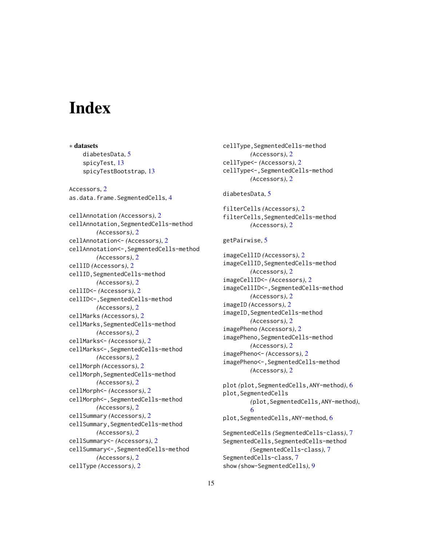# <span id="page-14-0"></span>**Index**

∗ datasets diabetesData, [5](#page-4-0) spicyTest, [13](#page-12-0) spicyTestBootstrap, [13](#page-12-0) Accessors, [2](#page-1-0) as.data.frame.SegmentedCells, [4](#page-3-0) cellAnnotation *(*Accessors*)*, [2](#page-1-0) cellAnnotation,SegmentedCells-method *(*Accessors*)*, [2](#page-1-0) cellAnnotation<- *(*Accessors*)*, [2](#page-1-0) cellAnnotation<-,SegmentedCells-method *(*Accessors*)*, [2](#page-1-0) cellID *(*Accessors*)*, [2](#page-1-0) cellID,SegmentedCells-method *(*Accessors*)*, [2](#page-1-0) cellID<- *(*Accessors*)*, [2](#page-1-0) cellID<-,SegmentedCells-method *(*Accessors*)*, [2](#page-1-0) cellMarks *(*Accessors*)*, [2](#page-1-0) cellMarks,SegmentedCells-method *(*Accessors*)*, [2](#page-1-0) cellMarks<- *(*Accessors*)*, [2](#page-1-0) cellMarks<-,SegmentedCells-method *(*Accessors*)*, [2](#page-1-0) cellMorph *(*Accessors*)*, [2](#page-1-0) cellMorph,SegmentedCells-method *(*Accessors*)*, [2](#page-1-0) cellMorph<- *(*Accessors*)*, [2](#page-1-0) cellMorph<-,SegmentedCells-method *(*Accessors*)*, [2](#page-1-0) cellSummary *(*Accessors*)*, [2](#page-1-0) cellSummary,SegmentedCells-method *(*Accessors*)*, [2](#page-1-0) cellSummary<- *(*Accessors*)*, [2](#page-1-0) cellSummary<-,SegmentedCells-method *(*Accessors*)*, [2](#page-1-0) cellType *(*Accessors*)*, [2](#page-1-0)

cellType,SegmentedCells-method *(*Accessors*)*, [2](#page-1-0) cellType<- *(*Accessors*)*, [2](#page-1-0) cellType<-,SegmentedCells-method *(*Accessors*)*, [2](#page-1-0) diabetesData, [5](#page-4-0) filterCells *(*Accessors*)*, [2](#page-1-0) filterCells,SegmentedCells-method *(*Accessors*)*, [2](#page-1-0) getPairwise, [5](#page-4-0) imageCellID *(*Accessors*)*, [2](#page-1-0) imageCellID,SegmentedCells-method *(*Accessors*)*, [2](#page-1-0) imageCellID<- *(*Accessors*)*, [2](#page-1-0) imageCellID<-,SegmentedCells-method *(*Accessors*)*, [2](#page-1-0) imageID *(*Accessors*)*, [2](#page-1-0) imageID, SegmentedCells-method *(*Accessors*)*, [2](#page-1-0) imagePheno *(*Accessors*)*, [2](#page-1-0) imagePheno,SegmentedCells-method *(*Accessors*)*, [2](#page-1-0) imagePheno<- *(*Accessors*)*, [2](#page-1-0) imagePheno<-,SegmentedCells-method *(*Accessors*)*, [2](#page-1-0) plot *(*plot,SegmentedCells,ANY-method*)*, [6](#page-5-0) plot,SegmentedCells *(*plot,SegmentedCells,ANY-method*)*, [6](#page-5-0) plot,SegmentedCells,ANY-method, [6](#page-5-0) SegmentedCells *(*SegmentedCells-class*)*, [7](#page-6-0) SegmentedCells,SegmentedCells-method *(*SegmentedCells-class*)*, [7](#page-6-0) SegmentedCells-class, [7](#page-6-0) show *(*show-SegmentedCells*)*, [9](#page-8-0)